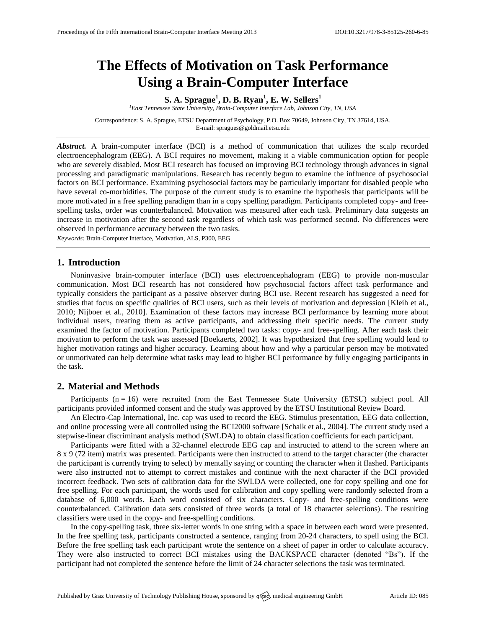# **The Effects of Motivation on Task Performance Using a Brain-Computer Interface**

**S. A. Sprague<sup>1</sup> , D. B. Ryan<sup>1</sup> , E. W. Sellers<sup>1</sup>**

*<sup>1</sup>East Tennessee State University, Brain-Computer Interface Lab, Johnson City, TN, USA*

Correspondence: S. A. Sprague, ETSU Department of Psychology, P.O. Box 70649, Johnson City, TN 37614, USA. E-mail: [spragues@goldmail.etsu.edu](mailto:spragues@goldmail.etsu.edu)

Abstract. A brain-computer interface (BCI) is a method of communication that utilizes the scalp recorded electroencephalogram (EEG). A BCI requires no movement, making it a viable communication option for people who are severely disabled. Most BCI research has focused on improving BCI technology through advances in signal processing and paradigmatic manipulations. Research has recently begun to examine the influence of psychosocial factors on BCI performance. Examining psychosocial factors may be particularly important for disabled people who have several co-morbidities. The purpose of the current study is to examine the hypothesis that participants will be more motivated in a free spelling paradigm than in a copy spelling paradigm. Participants completed copy- and freespelling tasks, order was counterbalanced. Motivation was measured after each task. Preliminary data suggests an increase in motivation after the second task regardless of which task was performed second. No differences were observed in performance accuracy between the two tasks.

*Keywords:* Brain-Computer Interface, Motivation, ALS, P300, EEG

## **1. Introduction**

Noninvasive brain-computer interface (BCI) uses electroencephalogram (EEG) to provide non-muscular communication. Most BCI research has not considered how psychosocial factors affect task performance and typically considers the participant as a passive observer during BCI use. Recent research has suggested a need for studies that focus on specific qualities of BCI users, such as their levels of motivation and depression [Kleih et al., 2010; Nijboer et al., 2010]. Examination of these factors may increase BCI performance by learning more about individual users, treating them as active participants, and addressing their specific needs. The current study examined the factor of motivation. Participants completed two tasks: copy- and free-spelling. After each task their motivation to perform the task was assessed [Boekaerts, 2002]. It was hypothesized that free spelling would lead to higher motivation ratings and higher accuracy. Learning about how and why a particular person may be motivated or unmotivated can help determine what tasks may lead to higher BCI performance by fully engaging participants in the task.

## **2. Material and Methods**

Participants  $(n = 16)$  were recruited from the East Tennessee State University (ETSU) subject pool. All participants provided informed consent and the study was approved by the ETSU Institutional Review Board.

An Electro-Cap International, Inc. cap was used to record the EEG. Stimulus presentation, EEG data collection, and online processing were all controlled using the BCI2000 software [Schalk et al., 2004]. The current study used a stepwise-linear discriminant analysis method (SWLDA) to obtain classification coefficients for each participant.

Participants were fitted with a 32-channel electrode EEG cap and instructed to attend to the screen where an 8 x 9 (72 item) matrix was presented. Participants were then instructed to attend to the target character (the character the participant is currently trying to select) by mentally saying or counting the character when it flashed. Participants were also instructed not to attempt to correct mistakes and continue with the next character if the BCI provided incorrect feedback. Two sets of calibration data for the SWLDA were collected, one for copy spelling and one for free spelling. For each participant, the words used for calibration and copy spelling were randomly selected from a database of 6,000 words. Each word consisted of six characters. Copy- and free-spelling conditions were counterbalanced. Calibration data sets consisted of three words (a total of 18 character selections). The resulting classifiers were used in the copy- and free-spelling conditions.

In the copy-spelling task, three six-letter words in one string with a space in between each word were presented. In the free spelling task, participants constructed a sentence, ranging from 20-24 characters, to spell using the BCI. Before the free spelling task each participant wrote the sentence on a sheet of paper in order to calculate accuracy. They were also instructed to correct BCI mistakes using the BACKSPACE character (denoted "Bs"). If the participant had not completed the sentence before the limit of 24 character selections the task was terminated.